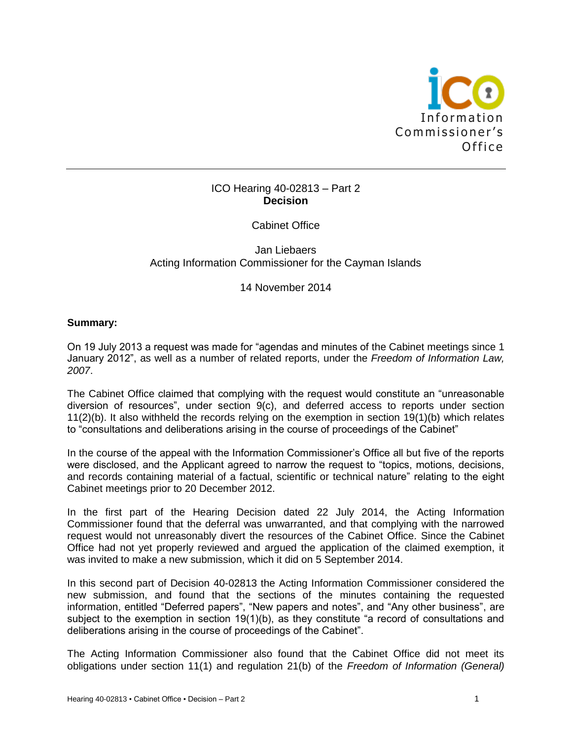

# ICO Hearing 40-02813 – Part 2 **Decision**

# Cabinet Office

Jan Liebaers Acting Information Commissioner for the Cayman Islands

14 November 2014

# **Summary:**

On 19 July 2013 a request was made for "agendas and minutes of the Cabinet meetings since 1 January 2012", as well as a number of related reports, under the *Freedom of Information Law, 2007*.

The Cabinet Office claimed that complying with the request would constitute an "unreasonable diversion of resources", under section 9(c), and deferred access to reports under section 11(2)(b). It also withheld the records relying on the exemption in section 19(1)(b) which relates to "consultations and deliberations arising in the course of proceedings of the Cabinet"

In the course of the appeal with the Information Commissioner's Office all but five of the reports were disclosed, and the Applicant agreed to narrow the request to "topics, motions, decisions, and records containing material of a factual, scientific or technical nature" relating to the eight Cabinet meetings prior to 20 December 2012.

In the first part of the Hearing Decision dated 22 July 2014, the Acting Information Commissioner found that the deferral was unwarranted, and that complying with the narrowed request would not unreasonably divert the resources of the Cabinet Office. Since the Cabinet Office had not yet properly reviewed and argued the application of the claimed exemption, it was invited to make a new submission, which it did on 5 September 2014.

In this second part of Decision 40-02813 the Acting Information Commissioner considered the new submission, and found that the sections of the minutes containing the requested information, entitled "Deferred papers", "New papers and notes", and "Any other business", are subject to the exemption in section 19(1)(b), as they constitute "a record of consultations and deliberations arising in the course of proceedings of the Cabinet".

The Acting Information Commissioner also found that the Cabinet Office did not meet its obligations under section 11(1) and regulation 21(b) of the *Freedom of Information (General)*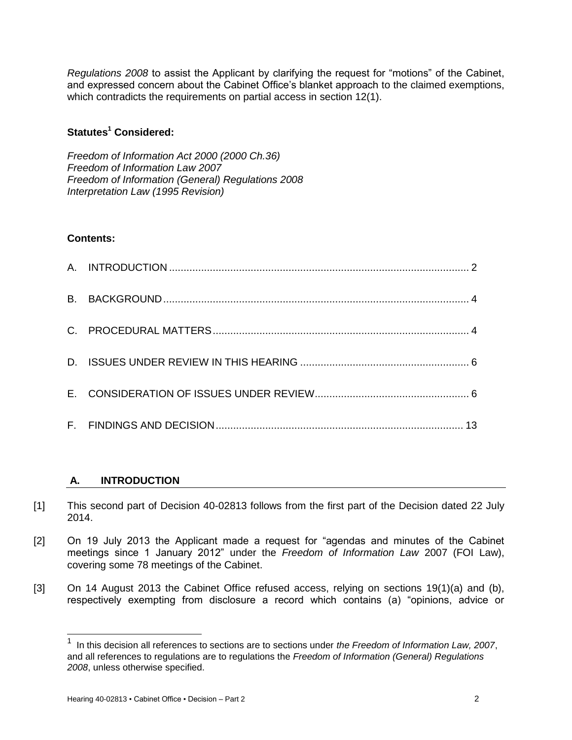*Regulations 2008* to assist the Applicant by clarifying the request for "motions" of the Cabinet, and expressed concern about the Cabinet Office's blanket approach to the claimed exemptions, which contradicts the requirements on partial access in section 12(1).

# **Statutes<sup>1</sup> Considered:**

*Freedom of Information Act 2000 (2000 Ch.36) Freedom of Information Law 2007 Freedom of Information (General) Regulations 2008 Interpretation Law (1995 Revision)*

# **Contents:**

# **A. INTRODUCTION**

- [1] This second part of Decision 40-02813 follows from the first part of the Decision dated 22 July 2014.
- [2] On 19 July 2013 the Applicant made a request for "agendas and minutes of the Cabinet meetings since 1 January 2012" under the *Freedom of Information Law* 2007 (FOI Law), covering some 78 meetings of the Cabinet.
- [3] On 14 August 2013 the Cabinet Office refused access, relying on sections 19(1)(a) and (b), respectively exempting from disclosure a record which contains (a) "opinions, advice or

 $\overline{1}$  In this decision all references to sections are to sections under *the Freedom of Information Law, 2007*, and all references to regulations are to regulations the *Freedom of Information (General) Regulations 2008*, unless otherwise specified.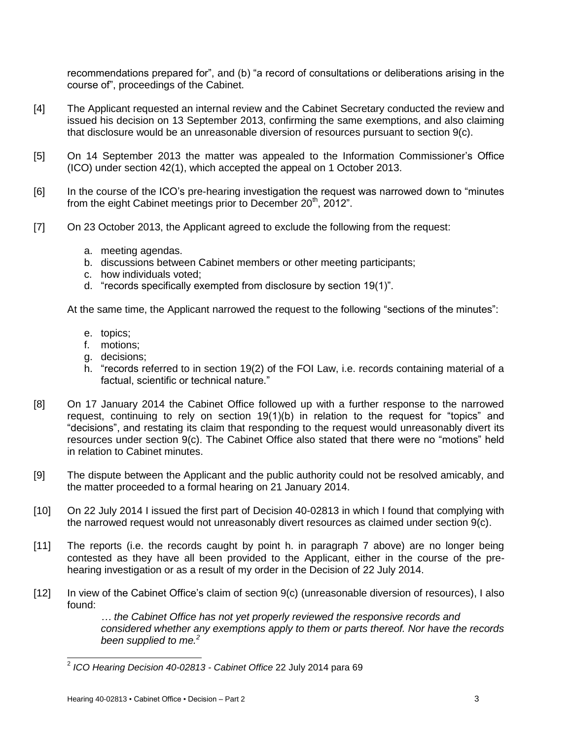recommendations prepared for", and (b) "a record of consultations or deliberations arising in the course of", proceedings of the Cabinet.

- [4] The Applicant requested an internal review and the Cabinet Secretary conducted the review and issued his decision on 13 September 2013, confirming the same exemptions, and also claiming that disclosure would be an unreasonable diversion of resources pursuant to section 9(c).
- [5] On 14 September 2013 the matter was appealed to the Information Commissioner's Office (ICO) under section 42(1), which accepted the appeal on 1 October 2013.
- [6] In the course of the ICO's pre-hearing investigation the request was narrowed down to "minutes from the eight Cabinet meetings prior to December 20<sup>th</sup>, 2012".
- [7] On 23 October 2013, the Applicant agreed to exclude the following from the request:
	- a. meeting agendas.
	- b. discussions between Cabinet members or other meeting participants;
	- c. how individuals voted;
	- d. "records specifically exempted from disclosure by section 19(1)".

At the same time, the Applicant narrowed the request to the following "sections of the minutes":

- e. topics;
- f. motions;
- g. decisions;
- h. "records referred to in section 19(2) of the FOI Law, i.e. records containing material of a factual, scientific or technical nature."
- [8] On 17 January 2014 the Cabinet Office followed up with a further response to the narrowed request, continuing to rely on section 19(1)(b) in relation to the request for "topics" and "decisions", and restating its claim that responding to the request would unreasonably divert its resources under section 9(c). The Cabinet Office also stated that there were no "motions" held in relation to Cabinet minutes.
- [9] The dispute between the Applicant and the public authority could not be resolved amicably, and the matter proceeded to a formal hearing on 21 January 2014.
- [10] On 22 July 2014 I issued the first part of Decision 40-02813 in which I found that complying with the narrowed request would not unreasonably divert resources as claimed under section 9(c).
- [11] The reports (i.e. the records caught by point h. in paragraph 7 above) are no longer being contested as they have all been provided to the Applicant, either in the course of the prehearing investigation or as a result of my order in the Decision of 22 July 2014.
- [12] In view of the Cabinet Office's claim of section 9(c) (unreasonable diversion of resources), I also found:

*… the Cabinet Office has not yet properly reviewed the responsive records and considered whether any exemptions apply to them or parts thereof. Nor have the records been supplied to me.<sup>2</sup>*

 $\overline{a}$ 

<sup>2</sup> *ICO Hearing Decision 40-02813 - Cabinet Office* 22 July 2014 para 69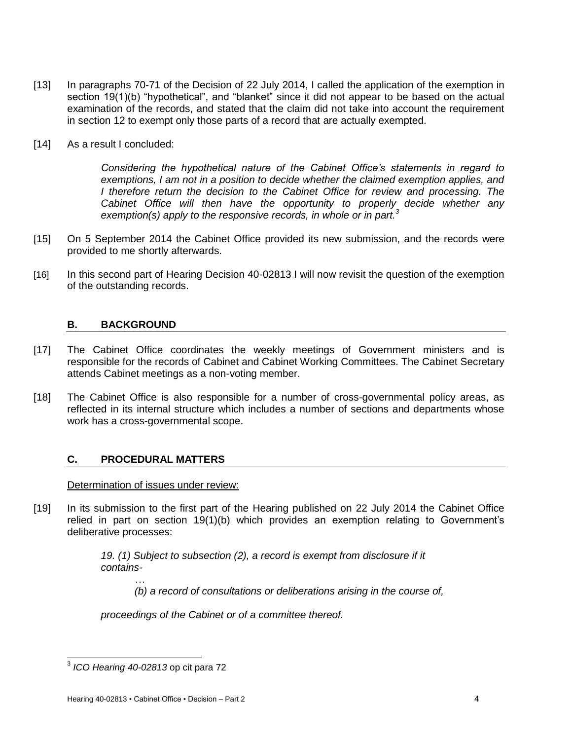- [13] In paragraphs 70-71 of the Decision of 22 July 2014, I called the application of the exemption in section 19(1)(b) "hypothetical", and "blanket" since it did not appear to be based on the actual examination of the records, and stated that the claim did not take into account the requirement in section 12 to exempt only those parts of a record that are actually exempted.
- [14] As a result I concluded:

*Considering the hypothetical nature of the Cabinet Office's statements in regard to exemptions, I am not in a position to decide whether the claimed exemption applies, and I* therefore return the decision to the Cabinet Office for review and processing. The *Cabinet Office will then have the opportunity to properly decide whether any exemption(s) apply to the responsive records, in whole or in part.<sup>3</sup>*

- [15] On 5 September 2014 the Cabinet Office provided its new submission, and the records were provided to me shortly afterwards.
- [16] In this second part of Hearing Decision 40-02813 I will now revisit the question of the exemption of the outstanding records.

# **B. BACKGROUND**

- [17] The Cabinet Office coordinates the weekly meetings of Government ministers and is responsible for the records of Cabinet and Cabinet Working Committees. The Cabinet Secretary attends Cabinet meetings as a non-voting member.
- [18] The Cabinet Office is also responsible for a number of cross-governmental policy areas, as reflected in its internal structure which includes a number of sections and departments whose work has a cross-governmental scope.

# **C. PROCEDURAL MATTERS**

# Determination of issues under review:

[19] In its submission to the first part of the Hearing published on 22 July 2014 the Cabinet Office relied in part on section 19(1)(b) which provides an exemption relating to Government's deliberative processes:

> *19. (1) Subject to subsection (2), a record is exempt from disclosure if it contains-*

*… (b) a record of consultations or deliberations arising in the course of,* 

*proceedings of the Cabinet or of a committee thereof.*

 3 *ICO Hearing 40-02813* op cit para 72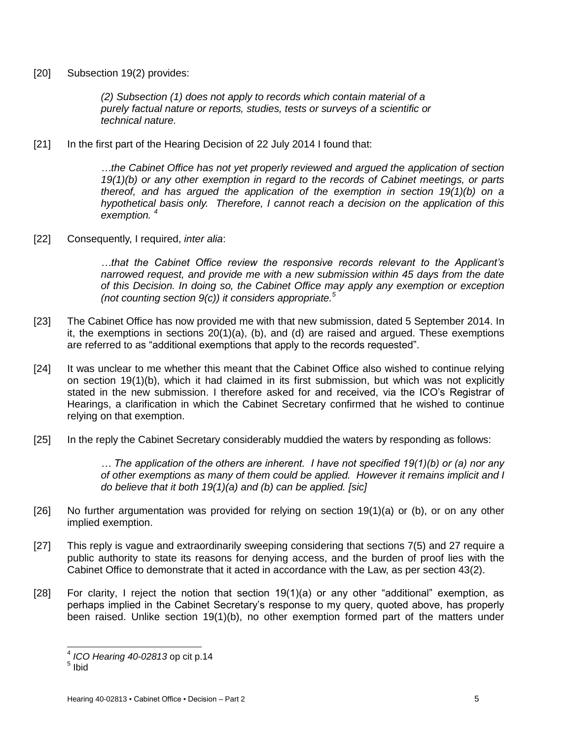[20] Subsection 19(2) provides:

*(2) Subsection (1) does not apply to records which contain material of a purely factual nature or reports, studies, tests or surveys of a scientific or technical nature.*

[21] In the first part of the Hearing Decision of 22 July 2014 I found that:

*…the Cabinet Office has not yet properly reviewed and argued the application of section 19(1)(b) or any other exemption in regard to the records of Cabinet meetings, or parts thereof, and has argued the application of the exemption in section 19(1)(b) on a hypothetical basis only. Therefore, I cannot reach a decision on the application of this exemption. <sup>4</sup>*

[22] Consequently, I required, *inter alia*:

*…that the Cabinet Office review the responsive records relevant to the Applicant's narrowed request, and provide me with a new submission within 45 days from the date of this Decision. In doing so, the Cabinet Office may apply any exemption or exception (not counting section 9(c)) it considers appropriate.<sup>5</sup>*

- [23] The Cabinet Office has now provided me with that new submission, dated 5 September 2014. In it, the exemptions in sections 20(1)(a), (b), and (d) are raised and argued. These exemptions are referred to as "additional exemptions that apply to the records requested".
- [24] It was unclear to me whether this meant that the Cabinet Office also wished to continue relying on section 19(1)(b), which it had claimed in its first submission, but which was not explicitly stated in the new submission. I therefore asked for and received, via the ICO's Registrar of Hearings, a clarification in which the Cabinet Secretary confirmed that he wished to continue relying on that exemption.
- [25] In the reply the Cabinet Secretary considerably muddied the waters by responding as follows:

*… The application of the others are inherent. I have not specified 19(1)(b) or (a) nor any of other exemptions as many of them could be applied. However it remains implicit and I do believe that it both 19(1)(a) and (b) can be applied. [sic]*

- [26] No further argumentation was provided for relying on section 19(1)(a) or (b), or on any other implied exemption.
- [27] This reply is vague and extraordinarily sweeping considering that sections 7(5) and 27 require a public authority to state its reasons for denying access, and the burden of proof lies with the Cabinet Office to demonstrate that it acted in accordance with the Law, as per section 43(2).
- [28] For clarity, I reject the notion that section 19(1)(a) or any other "additional" exemption, as perhaps implied in the Cabinet Secretary's response to my query, quoted above, has properly been raised. Unlike section 19(1)(b), no other exemption formed part of the matters under

 4 *ICO Hearing 40-02813* op cit p.14

 $^5$  Ibid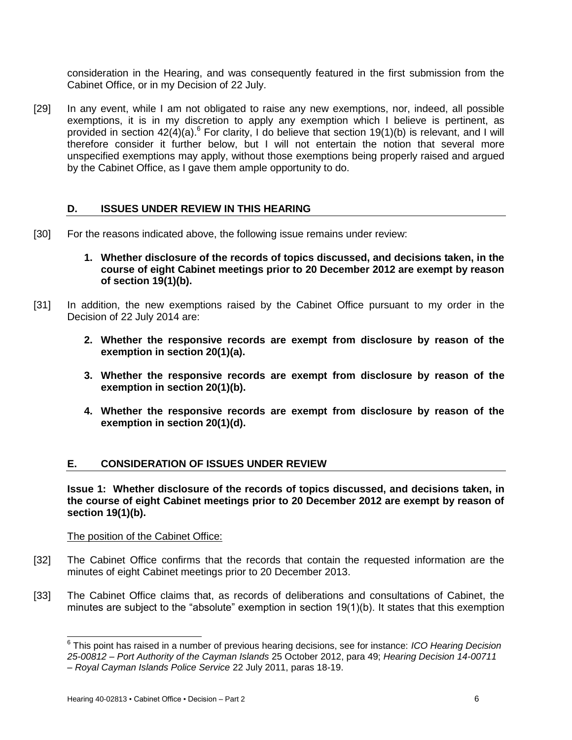consideration in the Hearing, and was consequently featured in the first submission from the Cabinet Office, or in my Decision of 22 July.

[29] In any event, while I am not obligated to raise any new exemptions, nor, indeed, all possible exemptions, it is in my discretion to apply any exemption which I believe is pertinent, as provided in section  $42(4)(a)$ .<sup>6</sup> For clarity, I do believe that section 19(1)(b) is relevant, and I will therefore consider it further below, but I will not entertain the notion that several more unspecified exemptions may apply, without those exemptions being properly raised and argued by the Cabinet Office, as I gave them ample opportunity to do.

### **D. ISSUES UNDER REVIEW IN THIS HEARING**

- [30] For the reasons indicated above, the following issue remains under review:
	- **1. Whether disclosure of the records of topics discussed, and decisions taken, in the course of eight Cabinet meetings prior to 20 December 2012 are exempt by reason of section 19(1)(b).**
- [31] In addition, the new exemptions raised by the Cabinet Office pursuant to my order in the Decision of 22 July 2014 are:
	- **2. Whether the responsive records are exempt from disclosure by reason of the exemption in section 20(1)(a).**
	- **3. Whether the responsive records are exempt from disclosure by reason of the exemption in section 20(1)(b).**
	- **4. Whether the responsive records are exempt from disclosure by reason of the exemption in section 20(1)(d).**

#### **E. CONSIDERATION OF ISSUES UNDER REVIEW**

**Issue 1: Whether disclosure of the records of topics discussed, and decisions taken, in the course of eight Cabinet meetings prior to 20 December 2012 are exempt by reason of section 19(1)(b).**

#### The position of the Cabinet Office:

 $\overline{a}$ 

- [32] The Cabinet Office confirms that the records that contain the requested information are the minutes of eight Cabinet meetings prior to 20 December 2013.
- [33] The Cabinet Office claims that, as records of deliberations and consultations of Cabinet, the minutes are subject to the "absolute" exemption in section 19(1)(b). It states that this exemption

<sup>6</sup> This point has raised in a number of previous hearing decisions, see for instance: *ICO Hearing Decision 25-00812 – Port Authority of the Cayman Islands* 25 October 2012, para 49; *Hearing Decision 14-00711 – Royal Cayman Islands Police Service* 22 July 2011, paras 18-19.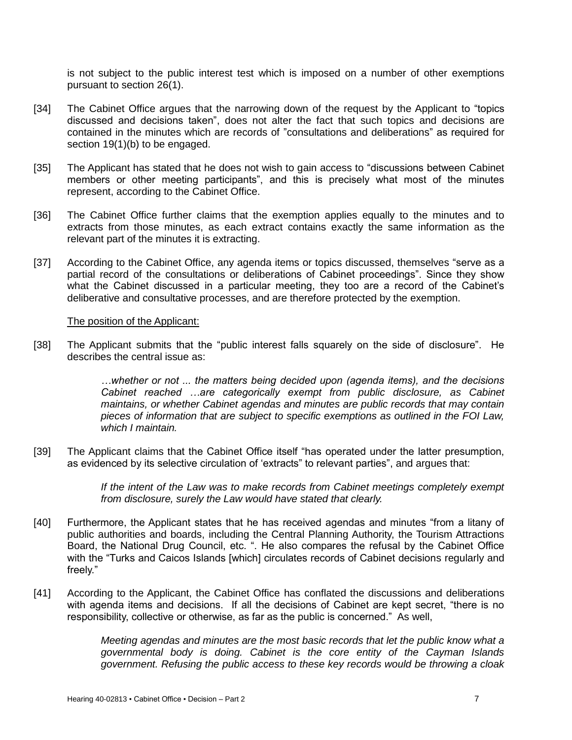is not subject to the public interest test which is imposed on a number of other exemptions pursuant to section 26(1).

- [34] The Cabinet Office argues that the narrowing down of the request by the Applicant to "topics discussed and decisions taken", does not alter the fact that such topics and decisions are contained in the minutes which are records of "consultations and deliberations" as required for section 19(1)(b) to be engaged.
- [35] The Applicant has stated that he does not wish to gain access to "discussions between Cabinet members or other meeting participants", and this is precisely what most of the minutes represent, according to the Cabinet Office.
- [36] The Cabinet Office further claims that the exemption applies equally to the minutes and to extracts from those minutes, as each extract contains exactly the same information as the relevant part of the minutes it is extracting.
- [37] According to the Cabinet Office, any agenda items or topics discussed, themselves "serve as a partial record of the consultations or deliberations of Cabinet proceedings". Since they show what the Cabinet discussed in a particular meeting, they too are a record of the Cabinet's deliberative and consultative processes, and are therefore protected by the exemption.

#### The position of the Applicant:

[38] The Applicant submits that the "public interest falls squarely on the side of disclosure". He describes the central issue as:

> *…whether or not ... the matters being decided upon (agenda items), and the decisions Cabinet reached …are categorically exempt from public disclosure, as Cabinet maintains, or whether Cabinet agendas and minutes are public records that may contain pieces of information that are subject to specific exemptions as outlined in the FOI Law, which I maintain.*

[39] The Applicant claims that the Cabinet Office itself "has operated under the latter presumption, as evidenced by its selective circulation of 'extracts" to relevant parties", and argues that:

> *If the intent of the Law was to make records from Cabinet meetings completely exempt from disclosure, surely the Law would have stated that clearly.*

- [40] Furthermore, the Applicant states that he has received agendas and minutes "from a litany of public authorities and boards, including the Central Planning Authority, the Tourism Attractions Board, the National Drug Council, etc. ". He also compares the refusal by the Cabinet Office with the "Turks and Caicos Islands [which] circulates records of Cabinet decisions regularly and freely."
- [41] According to the Applicant, the Cabinet Office has conflated the discussions and deliberations with agenda items and decisions. If all the decisions of Cabinet are kept secret, "there is no responsibility, collective or otherwise, as far as the public is concerned." As well,

*Meeting agendas and minutes are the most basic records that let the public know what a governmental body is doing. Cabinet is the core entity of the Cayman Islands government. Refusing the public access to these key records would be throwing a cloak*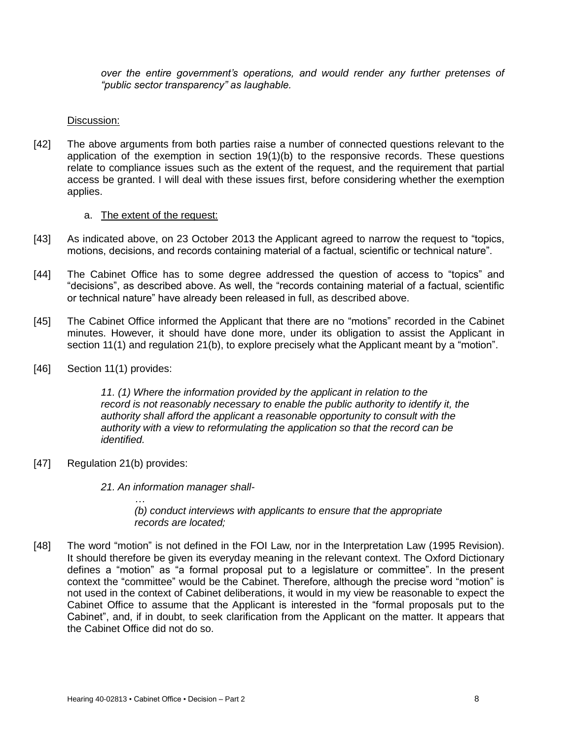*over the entire government's operations, and would render any further pretenses of "public sector transparency" as laughable.*

#### Discussion:

[42] The above arguments from both parties raise a number of connected questions relevant to the application of the exemption in section  $19(1)(b)$  to the responsive records. These questions relate to compliance issues such as the extent of the request, and the requirement that partial access be granted. I will deal with these issues first, before considering whether the exemption applies.

#### a. The extent of the request:

- [43] As indicated above, on 23 October 2013 the Applicant agreed to narrow the request to "topics, motions, decisions, and records containing material of a factual, scientific or technical nature".
- [44] The Cabinet Office has to some degree addressed the question of access to "topics" and "decisions", as described above. As well, the "records containing material of a factual, scientific or technical nature" have already been released in full, as described above.
- [45] The Cabinet Office informed the Applicant that there are no "motions" recorded in the Cabinet minutes. However, it should have done more, under its obligation to assist the Applicant in section 11(1) and regulation 21(b), to explore precisely what the Applicant meant by a "motion".
- [46] Section 11(1) provides:

*11. (1) Where the information provided by the applicant in relation to the record is not reasonably necessary to enable the public authority to identify it, the authority shall afford the applicant a reasonable opportunity to consult with the authority with a view to reformulating the application so that the record can be identified.*

[47] Regulation 21(b) provides:

*…*

*21. An information manager shall-*

*(b) conduct interviews with applicants to ensure that the appropriate records are located;*

[48] The word "motion" is not defined in the FOI Law, nor in the Interpretation Law (1995 Revision). It should therefore be given its everyday meaning in the relevant context. The Oxford Dictionary defines a "motion" as "a formal proposal put to a legislature or committee". In the present context the "committee" would be the Cabinet. Therefore, although the precise word "motion" is not used in the context of Cabinet deliberations, it would in my view be reasonable to expect the Cabinet Office to assume that the Applicant is interested in the "formal proposals put to the Cabinet", and, if in doubt, to seek clarification from the Applicant on the matter. It appears that the Cabinet Office did not do so.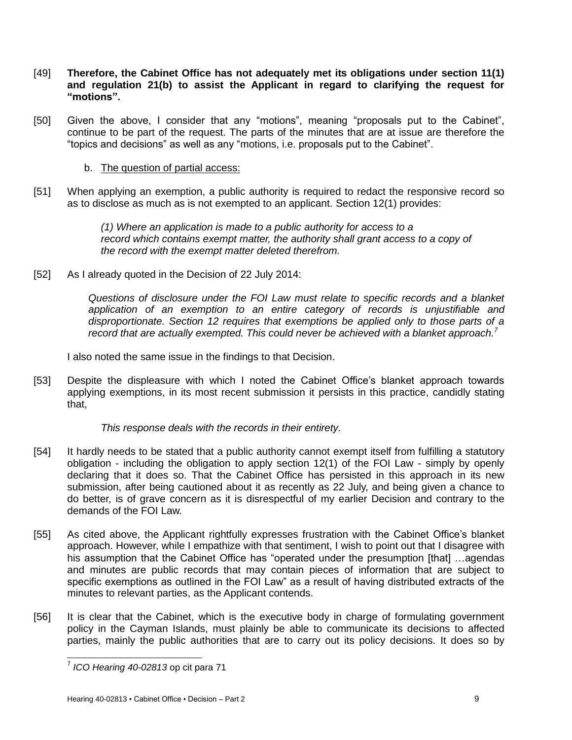- [49] **Therefore, the Cabinet Office has not adequately met its obligations under section 11(1) and regulation 21(b) to assist the Applicant in regard to clarifying the request for "motions".**
- [50] Given the above, I consider that any "motions", meaning "proposals put to the Cabinet", continue to be part of the request. The parts of the minutes that are at issue are therefore the "topics and decisions" as well as any "motions, i.e. proposals put to the Cabinet".
	- b. The question of partial access:
- [51] When applying an exemption, a public authority is required to redact the responsive record so as to disclose as much as is not exempted to an applicant. Section 12(1) provides:

*(1) Where an application is made to a public authority for access to a record which contains exempt matter, the authority shall grant access to a copy of the record with the exempt matter deleted therefrom.*

[52] As I already quoted in the Decision of 22 July 2014:

*Questions of disclosure under the FOI Law must relate to specific records and a blanket application of an exemption to an entire category of records is unjustifiable and disproportionate. Section 12 requires that exemptions be applied only to those parts of a record that are actually exempted. This could never be achieved with a blanket approach.<sup>7</sup>*

I also noted the same issue in the findings to that Decision.

[53] Despite the displeasure with which I noted the Cabinet Office's blanket approach towards applying exemptions, in its most recent submission it persists in this practice, candidly stating that,

*This response deals with the records in their entirety.*

- [54] It hardly needs to be stated that a public authority cannot exempt itself from fulfilling a statutory obligation - including the obligation to apply section 12(1) of the FOI Law - simply by openly declaring that it does so. That the Cabinet Office has persisted in this approach in its new submission, after being cautioned about it as recently as 22 July, and being given a chance to do better, is of grave concern as it is disrespectful of my earlier Decision and contrary to the demands of the FOI Law.
- [55] As cited above, the Applicant rightfully expresses frustration with the Cabinet Office's blanket approach. However, while I empathize with that sentiment, I wish to point out that I disagree with his assumption that the Cabinet Office has "operated under the presumption [that] ...agendas and minutes are public records that may contain pieces of information that are subject to specific exemptions as outlined in the FOI Law" as a result of having distributed extracts of the minutes to relevant parties, as the Applicant contends.
- [56] It is clear that the Cabinet, which is the executive body in charge of formulating government policy in the Cayman Islands, must plainly be able to communicate its decisions to affected parties, mainly the public authorities that are to carry out its policy decisions. It does so by

l 7 *ICO Hearing 40-02813* op cit para 71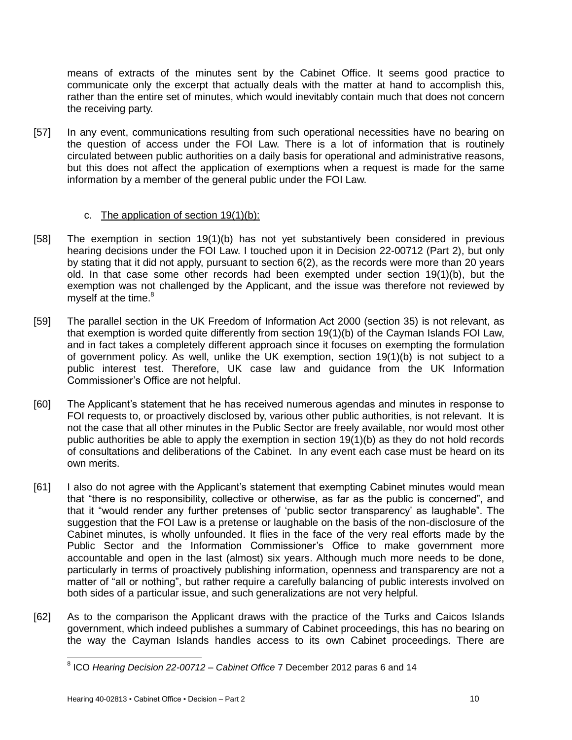means of extracts of the minutes sent by the Cabinet Office. It seems good practice to communicate only the excerpt that actually deals with the matter at hand to accomplish this, rather than the entire set of minutes, which would inevitably contain much that does not concern the receiving party.

[57] In any event, communications resulting from such operational necessities have no bearing on the question of access under the FOI Law. There is a lot of information that is routinely circulated between public authorities on a daily basis for operational and administrative reasons, but this does not affect the application of exemptions when a request is made for the same information by a member of the general public under the FOI Law.

# c. The application of section  $19(1)(b)$ :

- [58] The exemption in section 19(1)(b) has not yet substantively been considered in previous hearing decisions under the FOI Law. I touched upon it in Decision 22-00712 (Part 2), but only by stating that it did not apply, pursuant to section 6(2), as the records were more than 20 years old. In that case some other records had been exempted under section 19(1)(b), but the exemption was not challenged by the Applicant, and the issue was therefore not reviewed by myself at the time.<sup>8</sup>
- [59] The parallel section in the UK Freedom of Information Act 2000 (section 35) is not relevant, as that exemption is worded quite differently from section 19(1)(b) of the Cayman Islands FOI Law, and in fact takes a completely different approach since it focuses on exempting the formulation of government policy. As well, unlike the UK exemption, section 19(1)(b) is not subject to a public interest test. Therefore, UK case law and guidance from the UK Information Commissioner's Office are not helpful.
- [60] The Applicant's statement that he has received numerous agendas and minutes in response to FOI requests to, or proactively disclosed by, various other public authorities, is not relevant. It is not the case that all other minutes in the Public Sector are freely available, nor would most other public authorities be able to apply the exemption in section 19(1)(b) as they do not hold records of consultations and deliberations of the Cabinet. In any event each case must be heard on its own merits.
- [61] I also do not agree with the Applicant's statement that exempting Cabinet minutes would mean that "there is no responsibility, collective or otherwise, as far as the public is concerned", and that it "would render any further pretenses of 'public sector transparency' as laughable". The suggestion that the FOI Law is a pretense or laughable on the basis of the non-disclosure of the Cabinet minutes, is wholly unfounded. It flies in the face of the very real efforts made by the Public Sector and the Information Commissioner's Office to make government more accountable and open in the last (almost) six years. Although much more needs to be done, particularly in terms of proactively publishing information, openness and transparency are not a matter of "all or nothing", but rather require a carefully balancing of public interests involved on both sides of a particular issue, and such generalizations are not very helpful.
- [62] As to the comparison the Applicant draws with the practice of the Turks and Caicos Islands government, which indeed publishes a summary of Cabinet proceedings, this has no bearing on the way the Cayman Islands handles access to its own Cabinet proceedings. There are

 $\overline{a}$ 8 ICO *Hearing Decision 22-00712 – Cabinet Office* 7 December 2012 paras 6 and 14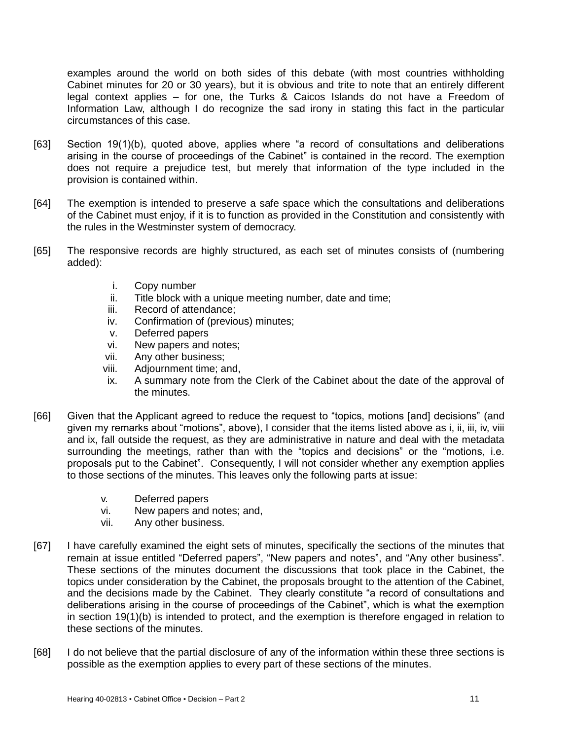examples around the world on both sides of this debate (with most countries withholding Cabinet minutes for 20 or 30 years), but it is obvious and trite to note that an entirely different legal context applies – for one, the Turks & Caicos Islands do not have a Freedom of Information Law, although I do recognize the sad irony in stating this fact in the particular circumstances of this case.

- [63] Section 19(1)(b), quoted above, applies where "a record of consultations and deliberations arising in the course of proceedings of the Cabinet" is contained in the record. The exemption does not require a prejudice test, but merely that information of the type included in the provision is contained within.
- [64] The exemption is intended to preserve a safe space which the consultations and deliberations of the Cabinet must enjoy, if it is to function as provided in the Constitution and consistently with the rules in the Westminster system of democracy.
- [65] The responsive records are highly structured, as each set of minutes consists of (numbering added):
	- i. Copy number
	- ii. Title block with a unique meeting number, date and time;
	- iii. Record of attendance;
	- iv. Confirmation of (previous) minutes;
	- v. Deferred papers
	- vi. New papers and notes;
	- vii. Any other business;
	- viii. Adjournment time; and,
	- ix. A summary note from the Clerk of the Cabinet about the date of the approval of the minutes.
- [66] Given that the Applicant agreed to reduce the request to "topics, motions [and] decisions" (and given my remarks about "motions", above), I consider that the items listed above as i, ii, iii, iv, viii and ix, fall outside the request, as they are administrative in nature and deal with the metadata surrounding the meetings, rather than with the "topics and decisions" or the "motions, i.e. proposals put to the Cabinet". Consequently, I will not consider whether any exemption applies to those sections of the minutes. This leaves only the following parts at issue:
	- v. Deferred papers
	- vi. New papers and notes; and,
	- vii. Any other business.
- [67] I have carefully examined the eight sets of minutes, specifically the sections of the minutes that remain at issue entitled "Deferred papers", "New papers and notes", and "Any other business". These sections of the minutes document the discussions that took place in the Cabinet, the topics under consideration by the Cabinet, the proposals brought to the attention of the Cabinet, and the decisions made by the Cabinet. They clearly constitute "a record of consultations and deliberations arising in the course of proceedings of the Cabinet", which is what the exemption in section 19(1)(b) is intended to protect, and the exemption is therefore engaged in relation to these sections of the minutes.
- [68] I do not believe that the partial disclosure of any of the information within these three sections is possible as the exemption applies to every part of these sections of the minutes.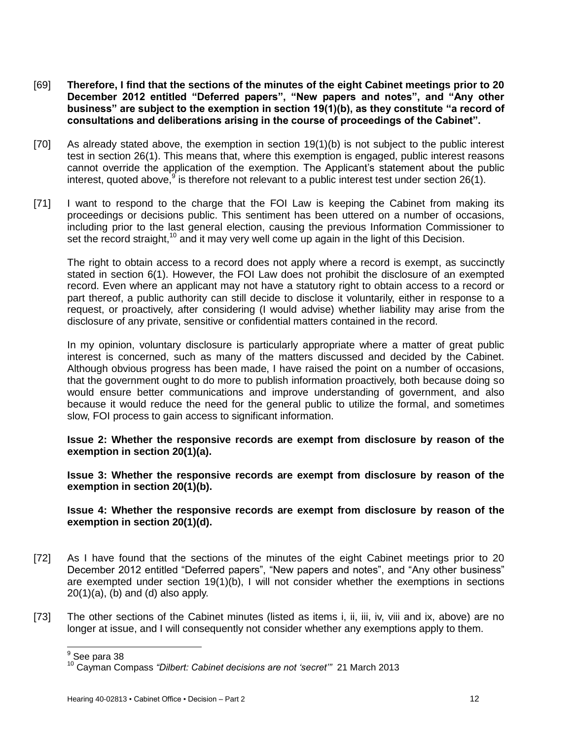- [69] **Therefore, I find that the sections of the minutes of the eight Cabinet meetings prior to 20 December 2012 entitled "Deferred papers", "New papers and notes", and "Any other business" are subject to the exemption in section 19(1)(b), as they constitute "a record of consultations and deliberations arising in the course of proceedings of the Cabinet".**
- [70] As already stated above, the exemption in section 19(1)(b) is not subject to the public interest test in section 26(1). This means that, where this exemption is engaged, public interest reasons cannot override the application of the exemption. The Applicant's statement about the public interest, quoted above,  $9$  is therefore not relevant to a public interest test under section 26(1).
- [71] I want to respond to the charge that the FOI Law is keeping the Cabinet from making its proceedings or decisions public. This sentiment has been uttered on a number of occasions, including prior to the last general election, causing the previous Information Commissioner to set the record straight,<sup>10</sup> and it may very well come up again in the light of this Decision.

The right to obtain access to a record does not apply where a record is exempt, as succinctly stated in section 6(1). However, the FOI Law does not prohibit the disclosure of an exempted record. Even where an applicant may not have a statutory right to obtain access to a record or part thereof, a public authority can still decide to disclose it voluntarily, either in response to a request, or proactively, after considering (I would advise) whether liability may arise from the disclosure of any private, sensitive or confidential matters contained in the record.

In my opinion, voluntary disclosure is particularly appropriate where a matter of great public interest is concerned, such as many of the matters discussed and decided by the Cabinet. Although obvious progress has been made, I have raised the point on a number of occasions, that the government ought to do more to publish information proactively, both because doing so would ensure better communications and improve understanding of government, and also because it would reduce the need for the general public to utilize the formal, and sometimes slow, FOI process to gain access to significant information.

# **Issue 2: Whether the responsive records are exempt from disclosure by reason of the exemption in section 20(1)(a).**

**Issue 3: Whether the responsive records are exempt from disclosure by reason of the exemption in section 20(1)(b).**

### **Issue 4: Whether the responsive records are exempt from disclosure by reason of the exemption in section 20(1)(d).**

- [72] As I have found that the sections of the minutes of the eight Cabinet meetings prior to 20 December 2012 entitled "Deferred papers", "New papers and notes", and "Any other business" are exempted under section 19(1)(b), I will not consider whether the exemptions in sections  $20(1)(a)$ , (b) and (d) also apply.
- [73] The other sections of the Cabinet minutes (listed as items i, ii, iii, iv, viii and ix, above) are no longer at issue, and I will consequently not consider whether any exemptions apply to them.

<sup>&</sup>lt;u>。</u><br><sup>9</sup> See para 38

<sup>10</sup> Cayman Compass *"Dilbert: Cabinet decisions are not 'secret'"* 21 March 2013